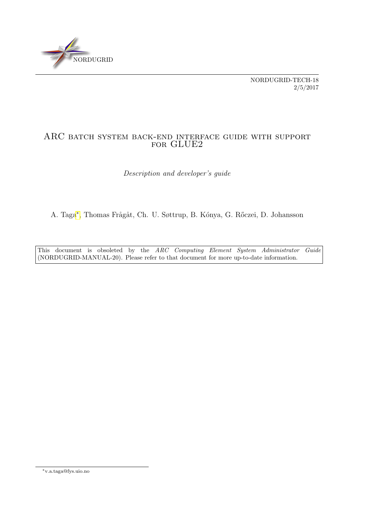

NORDUGRID-TECH-18 2/5/2017

## ARC batch system back-end interface guide with support FOR GLUE2

Description and developer's guide

A. Taga<sup>[∗](#page-0-0)</sup>, Thomas Frågåt, Ch. U. Søttrup, B. Kónya, G. Rőczei, D. Johansson

This document is obsoleted by the ARC Computing Element System Administrator Guide (NORDUGRID-MANUAL-20). Please refer to that document for more up-to-date information.

<span id="page-0-0"></span><sup>∗</sup>v.a.taga@fys.uio.no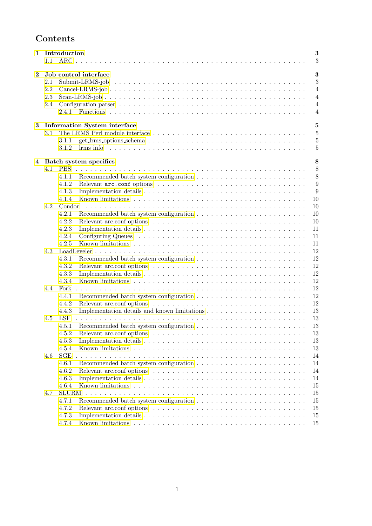# Contents

| Introduction<br>1<br>1.1 |     |                                                                                                                               |
|--------------------------|-----|-------------------------------------------------------------------------------------------------------------------------------|
|                          |     | 3                                                                                                                             |
| $\bf{2}$                 |     | 3<br>Job control interface                                                                                                    |
|                          | 2.1 | 3                                                                                                                             |
|                          | 2.2 | $\overline{4}$                                                                                                                |
|                          | 2.3 | $\overline{4}$                                                                                                                |
|                          | 2.4 | $\overline{4}$                                                                                                                |
|                          |     | 2.4.1<br>$\overline{4}$                                                                                                       |
| 3                        |     | <b>Information System interface</b><br>$\overline{5}$                                                                         |
|                          | 3.1 | $\overline{5}$                                                                                                                |
|                          |     | $\overline{5}$<br>3.1.1                                                                                                       |
|                          |     | $\overline{5}$<br>3.1.2                                                                                                       |
|                          |     |                                                                                                                               |
|                          |     | 8<br>4 Batch system specifics                                                                                                 |
|                          | 4.1 | 8<br><b>PBS</b>                                                                                                               |
|                          |     | 8<br>4.1.1                                                                                                                    |
|                          |     | 9<br>4.1.2                                                                                                                    |
|                          |     | 9<br>4.1.3                                                                                                                    |
|                          |     | 10<br>4.1.4                                                                                                                   |
|                          | 4.2 | Condor<br>10                                                                                                                  |
|                          |     | 4.2.1<br>10                                                                                                                   |
|                          |     | 4.2.2<br>10                                                                                                                   |
|                          |     | 4.2.3<br>11                                                                                                                   |
|                          |     | 4.2.4<br>11                                                                                                                   |
|                          |     | Known limitations $\ldots \ldots \ldots \ldots \ldots \ldots \ldots \ldots \ldots \ldots \ldots \ldots \ldots$<br>4.2.5<br>11 |
|                          | 4.3 | 12                                                                                                                            |
|                          |     | 12<br>4.3.1                                                                                                                   |
|                          |     | 12<br>4.3.2                                                                                                                   |
|                          |     | 4.3.3<br>12                                                                                                                   |
|                          |     | 12<br>4.3.4                                                                                                                   |
|                          | 4.4 | 12<br>Fork                                                                                                                    |
|                          |     | 12<br>4.4.1                                                                                                                   |
|                          |     | 12<br>4.4.2                                                                                                                   |
|                          |     | 13<br>4.4.3                                                                                                                   |
|                          | 4.5 | LSF<br>13                                                                                                                     |
|                          |     | 13<br>4.5.1                                                                                                                   |
|                          |     |                                                                                                                               |
|                          |     | 4.5.2<br>13                                                                                                                   |
|                          |     | 4.5.3<br>13                                                                                                                   |
|                          |     | 4.5.4<br>13                                                                                                                   |
|                          | 4.6 | SGE<br>14                                                                                                                     |
|                          |     | 4.6.1<br>14                                                                                                                   |
|                          |     | 4.6.2<br>14                                                                                                                   |
|                          |     | 4.6.3<br>14                                                                                                                   |
|                          |     | 4.6.4<br>15                                                                                                                   |
|                          | 4.7 | <b>SLURM</b><br>15                                                                                                            |
|                          |     | 4.7.1<br>15                                                                                                                   |
|                          |     | 4.7.2<br>15                                                                                                                   |
|                          |     | 4.7.3<br>15                                                                                                                   |
|                          |     | 4.7.4<br>15                                                                                                                   |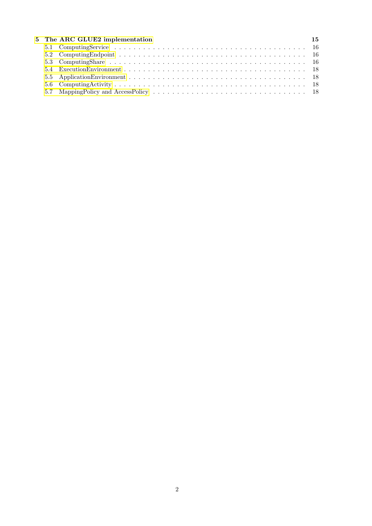|  | 5 The ARC GLUE2 implementation | 15 |
|--|--------------------------------|----|
|  |                                |    |
|  |                                |    |
|  |                                |    |
|  |                                |    |
|  |                                |    |
|  |                                |    |
|  |                                |    |
|  |                                |    |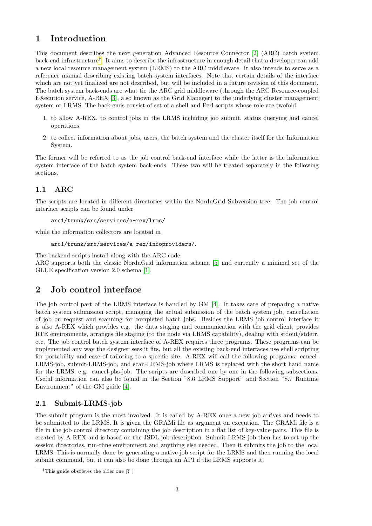## <span id="page-3-0"></span>1 Introduction

This document describes the next generation Advanced Resource Connector [\[2\]](#page-18-4) (ARC) batch system back-end infrastructure<sup>[†](#page-3-4)</sup>. It aims to describe the infrastructure in enough detail that a developer can add a new local resource management system (LRMS) to the ARC middleware. It also intends to serve as a reference manual describing existing batch system interfaces. Note that certain details of the interface which are not yet finalized are not described, but will be included in a future revision of this document. The batch system back-ends are what tie the ARC grid middleware (through the ARC Resource-coupled EXecution service, A-REX [\[3\]](#page-18-5), also known as the Grid Manager) to the underlying cluster management system or LRMS. The back-ends consist of set of a shell and Perl scripts whose role are twofold:

- 1. to allow A-REX, to control jobs in the LRMS including job submit, status querying and cancel operations.
- 2. to collect information about jobs, users, the batch system and the cluster itself for the Information System.

The former will be referred to as the job control back-end interface while the latter is the information system interface of the batch system back-ends. These two will be treated separately in the following sections.

## <span id="page-3-1"></span>1.1 ARC

The scripts are located in different directories within the NorduGrid Subversion tree. The job control interface scripts can be found under

arc1/trunk/src/services/a-rex/lrms/

while the information collectors are located in

```
arc1/trunk/src/services/a-rex/infoproviders/.
```
The backend scripts install along with the ARC code.

ARC supports both the classic NorduGrid information schema [\[5\]](#page-18-6) and currently a minimal set of the GLUE specification version 2.0 schema [\[1\]](#page-18-7).

## <span id="page-3-2"></span>2 Job control interface

The job control part of the LRMS interface is handled by GM [\[4\]](#page-18-8). It takes care of preparing a native batch system submission script, managing the actual submission of the batch system job, cancellation of job on request and scanning for completed batch jobs. Besides the LRMS job control interface it is also A-REX which provides e.g. the data staging and communication with the grid client, provides RTE environments, arranges file staging (to the node via LRMS capability), dealing with stdout/stderr, etc. The job control batch system interface of A-REX requires three programs. These programs can be implemented any way the designer sees it fits, but all the existing back-end interfaces use shell scripting for portability and ease of tailoring to a specific site. A-REX will call the following programs: cancel-LRMS-job, submit-LRMS-job, and scan-LRMS-job where LRMS is replaced with the short hand name for the LRMS; e.g. cancel-pbs-job. The scripts are described one by one in the following subsections. Useful information can also be found in the Section "8.6 LRMS Support" and Section "8.7 Runtime Environment" of the GM guide [\[4\]](#page-18-8).

### <span id="page-3-3"></span>2.1 Submit-LRMS-job

The submit program is the most involved. It is called by A-REX once a new job arrives and needs to be submitted to the LRMS. It is given the GRAMi file as argument on execution. The GRAMi file is a file in the job control directory containing the job description in a flat list of key-value pairs. This file is created by A-REX and is based on the JSDL job description. Submit-LRMS-job then has to set up the session directories, run-time environment and anything else needed. Then it submits the job to the local LRMS. This is normally done by generating a native job script for the LRMS and then running the local submit command, but it can also be done through an API if the LRMS supports it.

<span id="page-3-4"></span><sup>†</sup>This guide obsoletes the older one [? ]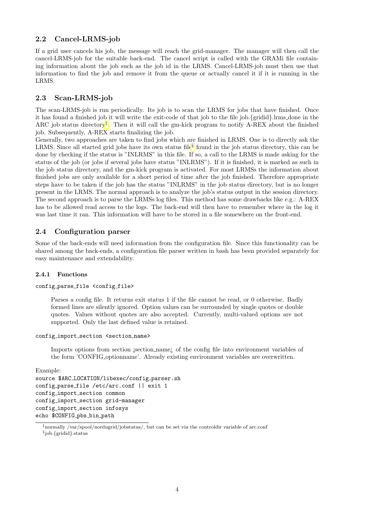## <span id="page-4-0"></span>2.2 Cancel-LRMS-job

If a grid user cancels his job, the message will reach the grid-manager. The manager will then call the cancel-LRMS-job for the suitable back-end. The cancel script is called with the GRAMi file containing information about the job such as the job id in the LRMS. Cancel-LRMS-job must then use that information to find the job and remove it from the queue or actually cancel it if it is running in the LRMS.

### <span id="page-4-1"></span>2.3 Scan-LRMS-job

The scan-LRMS-job is run periodically. Its job is to scan the LRMS for jobs that have finished. Once it has found a finished job it will write the exit-code of that job to the file job.{gridid}.lrms done in the ARC job status directory[‡](#page-4-4) . Then it will call the gm-kick program to notify A-REX about the finished job. Subsequently, A-REX starts finalizing the job.

Generally, two approaches are taken to find jobs which are finished in LRMS. One is to directly ask the LRMS. Since all started grid jobs have its own status file<sup>[§](#page-4-5)</sup> found in the job status directory, this can be done by checking if the status is "INLRMS" in this file. If so, a call to the LRMS is made asking for the status of the job (or jobs if several jobs have status "INLRMS"). If it is finished, it is marked as such in the job status directory, and the gm-kick program is activated. For most LRMSs the information about finished jobs are only available for a short period of time after the job finished. Therefore appropriate steps have to be taken if the job has the status "INLRMS" in the job status directory, but is no longer present in the LRMS. The normal approach is to analyze the job's status output in the session directory. The second approach is to parse the LRMSs log files. This method has some drawbacks like e.g.: A-REX has to be allowed read access to the logs. The back-end will then have to remember where in the log it was last time it ran. This information will have to be stored in a file somewhere on the front-end.

## <span id="page-4-2"></span>2.4 Configuration parser

Some of the back-ends will need information from the configuration file. Since this functionality can be shared among the back-ends, a configuration file parser written in bash has been provided separately for easy maintenance and extendability.

#### <span id="page-4-3"></span>2.4.1 Functions

#### config\_parse\_file <config\_file>

Parses a config file. It returns exit status 1 if the file cannot be read, or 0 otherwise. Badly formed lines are silently ignored. Option values can be surrounded by single quotes or double quotes. Values without quotes are also accepted. Currently, multi-valued options are not supported. Only the last defined value is retained.

#### config\_import\_section <section\_name>

Imports options from section section name; of the config file into environment variables of the form 'CONFIG optionname'. Already existing environment variables are overwritten.

```
Example:
```

```
source $ARC_LOCATION/libexec/config_parser.sh
config parse file /etc/arc.conf || exit 1
config_import_section common
config import section grid-manager
config import section infosys
echo $CONFIG_pbs_bin_path
```
<span id="page-4-5"></span><span id="page-4-4"></span><sup>‡</sup>normally /var/spool/nordugrid/jobstatus/, but can be set via the controldir variable of arc.conf § job.{gridid}.status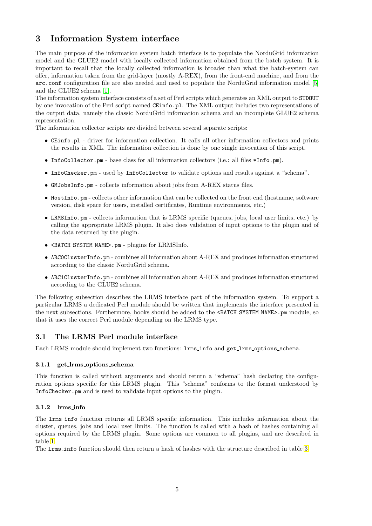# <span id="page-5-0"></span>3 Information System interface

The main purpose of the information system batch interface is to populate the NorduGrid information model and the GLUE2 model with locally collected information obtained from the batch system. It is important to recall that the locally collected information is broader than what the batch-system can offer, information taken from the grid-layer (mostly A-REX), from the front-end machine, and from the arc.conf configuration file are also needed and used to populate the NorduGrid information model [\[5\]](#page-18-6) and the GLUE2 schema [\[1\]](#page-18-7).

The information system interface consists of a set of Perl scripts which generates an XML output to STDOUT by one invocation of the Perl script named CEinfo.pl. The XML output includes two representations of the output data, namely the classic NorduGrid information schema and an incomplete GLUE2 schema representation.

The information collector scripts are divided between several separate scripts:

- CEinfo.pl driver for information collection. It calls all other information collectors and prints the results in XML. The information collection is done by one single invocation of this script.
- InfoCollector.pm base class for all information collectors (i.e.: all files \*Info.pm).
- InfoChecker.pm used by InfoCollector to validate options and results against a "schema".
- GMJobsInfo.pm collects information about jobs from A-REX status files.
- HostInfo.pm collects other information that can be collected on the front end (hostname, software version, disk space for users, installed certificates, Runtime environments, etc.)
- LRMSInfo.pm collects information that is LRMS specific (queues, jobs, local user limits, etc.) by calling the appropriate LRMS plugin. It also does validation of input options to the plugin and of the data returned by the plugin.
- <BATCH SYSTEM NAME>.pm plugins for LRMSInfo.
- ARC0ClusterInfo.pm combines all information about A-REX and produces information structured according to the classic NorduGrid schema.
- ARC1ClusterInfo.pm combines all information about A-REX and produces information structured according to the GLUE2 schema.

The following subsection describes the LRMS interface part of the information system. To support a particular LRMS a dedicated Perl module should be written that implements the interface presented in the next subsections. Furthermore, hooks should be added to the <BATCH\_SYSTEM\_NAME>.pm module, so that it uses the correct Perl module depending on the LRMS type.

### <span id="page-5-1"></span>3.1 The LRMS Perl module interface

Each LRMS module should implement two functions: lrms info and get lrms options schema.

#### <span id="page-5-2"></span>3.1.1 get lrms options schema

This function is called without arguments and should return a "schema" hash declaring the configuration options specific for this LRMS plugin. This "schema" conforms to the format understood by InfoChecker.pm and is used to validate input options to the plugin.

#### <span id="page-5-3"></span>3.1.2 lrms info

The lrms info function returns all LRMS specific information. This includes information about the cluster, queues, jobs and local user limits. The function is called with a hash of hashes containing all options required by the LRMS plugin. Some options are common to all plugins, and are described in table [1.](#page-6-0)

The lrms info function should then return a hash of hashes with the structure described in table [3.](#page-6-1)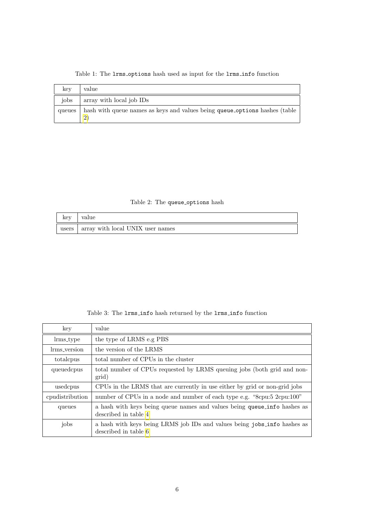| key    | value                                                                      |
|--------|----------------------------------------------------------------------------|
| iobs   | array with local job IDs                                                   |
| queues | hash with queue names as keys and values being queue_options hashes (table |

<span id="page-6-0"></span>Table 1: The  $l$ rms options hash used as input for the  $l$ rms info function

<span id="page-6-2"></span>Table 2: The queue options hash

| key   | value                            |
|-------|----------------------------------|
| users | array with local UNIX user names |

<span id="page-6-1"></span>Table 3: The lrms info hash returned by the lrms info function

| key             | value                                                                                            |
|-----------------|--------------------------------------------------------------------------------------------------|
| lrms_type       | the type of LRMS e.g PBS                                                                         |
| lrms_version    | the version of the LRMS                                                                          |
| totalcpus       | total number of CPUs in the cluster                                                              |
| queuedcpus      | total number of CPUs requested by LRMS queuing jobs (both grid and non-<br>grid)                 |
| usedcpus        | CPUs in the LRMS that are currently in use either by grid or non-grid jobs                       |
| condistribution | number of CPUs in a node and number of each type e.g. "8cpu:5 2cpu:100"                          |
| queues          | a hash with keys being queue names and values being queue info hashes as<br>described in table 4 |
| jobs            | a hash with keys being LRMS job IDs and values being jobs_info hashes as<br>described in table 6 |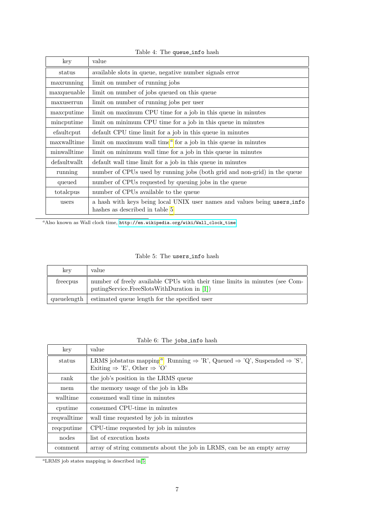| key          | value                                                                                                      |
|--------------|------------------------------------------------------------------------------------------------------------|
| status       | available slots in queue, negative number signals error                                                    |
| maxrunning   | limit on number of running jobs                                                                            |
| maxqueuable  | limit on number of jobs queued on this queue                                                               |
| maxuserrun   | limit on number of running jobs per user                                                                   |
| maxcputime   | limit on maximum CPU time for a job in this queue in minutes                                               |
| mincputime   | limit on minimum CPU time for a job in this queue in minutes                                               |
| efaultcput   | default CPU time limit for a job in this queue in minutes                                                  |
| maxwalltime  | limit on maximum wall time <sup><math>a</math></sup> for a job in this queue in minutes                    |
| minwalltime  | limit on minimum wall time for a job in this queue in minutes                                              |
| defaultwallt | default wall time limit for a job in this queue in minutes                                                 |
| running      | number of CPUs used by running jobs (both grid and non-grid) in the queue                                  |
| queued       | number of CPUs requested by queuing jobs in the queue                                                      |
| totalcpus    | number of CPUs available to the queue                                                                      |
| users        | a hash with keys being local UNIX user names and values being users info<br>hashes as described in table 5 |

<span id="page-7-0"></span>Table 4: The queue info hash

<span id="page-7-2"></span> $a_{\rm\,}$ akiso known as Wall clock time, [http://en.wikipedia.org/wiki/Wall\\_clock\\_time](http://en.wikipedia.org/wiki/Wall_clock_time)

### <span id="page-7-3"></span>Table 5: The users\_info hash

| key         | value                                                                                                                      |
|-------------|----------------------------------------------------------------------------------------------------------------------------|
| freecpus    | number of freely available CPUs with their time limits in minutes (see Com-<br>putingService.FreeSlotsWithDuration in [1]) |
| queuelength | estimated queue length for the specified user                                                                              |

## <span id="page-7-1"></span>Table 6: The jobs\_info hash

| key                                       | value                                                                                                                                                                                |
|-------------------------------------------|--------------------------------------------------------------------------------------------------------------------------------------------------------------------------------------|
| status                                    | LRMS jobstatus mapping <sup><i>a</i></sup> : Running $\Rightarrow$ 'R', Queued $\Rightarrow$ 'Q', Suspended $\Rightarrow$ 'S',<br>Exiting $\Rightarrow$ 'E', Other $\Rightarrow$ 'O' |
| rank                                      | the job's position in the LRMS queue                                                                                                                                                 |
| the memory usage of the job in kBs<br>mem |                                                                                                                                                                                      |
| consumed wall time in minutes<br>walltime |                                                                                                                                                                                      |
| cputime                                   | consumed CPU-time in minutes                                                                                                                                                         |
| requalitime                               | wall time requested by job in minutes                                                                                                                                                |
| requestime                                | CPU-time requested by job in minutes                                                                                                                                                 |
| nodes                                     | list of execution hosts                                                                                                                                                              |
| comment                                   | array of string comments about the job in LRMS, can be an empty array                                                                                                                |

<span id="page-7-4"></span> $\mathrm{^{a}LRMS}$  job states mapping is described in<br>[\[5\]](#page-18-6)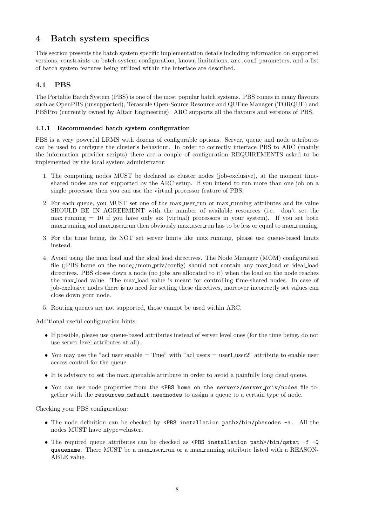# <span id="page-8-0"></span>4 Batch system specifics

This section presents the batch system specific implementation details including information on supported versions, constraints on batch system configuration, known limitations, arc.conf parameters, and a list of batch system features being utilized within the interface are described.

## <span id="page-8-1"></span>4.1 PBS

The Portable Batch System (PBS) is one of the most popular batch systems. PBS comes in many flavours such as OpenPBS (unsupported), Terascale Open-Source Resource and QUEue Manager (TORQUE) and PBSPro (currently owned by Altair Engineering). ARC supports all the flavours and versions of PBS.

#### <span id="page-8-2"></span>4.1.1 Recommended batch system configuration

PBS is a very powerful LRMS with dozens of configurable options. Server, queue and node attributes can be used to configure the cluster's behaviour. In order to correctly interface PBS to ARC (mainly the information provider scripts) there are a couple of configuration REQUIREMENTS asked to be implemented by the local system administrator:

- 1. The computing nodes MUST be declared as cluster nodes (job-exclusive), at the moment timeshared nodes are not supported by the ARC setup. If you intend to run more than one job on a single processor then you can use the virtual processor feature of PBS.
- 2. For each queue, you MUST set one of the max user run or max running attributes and its value SHOULD BE IN AGREEMENT with the number of available resources (i.e. don't set the  $max$  running  $= 10$  if you have only six (virtual) processors in your system). If you set both max running and max user run then obviously max user run has to be less or equal to max running.
- 3. For the time being, do NOT set server limits like max running, please use queue-based limits instead.
- 4. Avoid using the max load and the ideal load directives. The Node Manager (MOM) configuration file ( $i$ PBS home on the node;/mom\_priv/config) should not contain any max\_load or ideal\_load directives. PBS closes down a node (no jobs are allocated to it) when the load on the node reaches the max load value. The max load value is meant for controlling time-shared nodes. In case of job-exclusive nodes there is no need for setting these directives, moreover incorrectly set values can close down your node.
- 5. Routing queues are not supported, those cannot be used within ARC.

Additional useful configuration hints:

- If possible, please use queue-based attributes instead of server level ones (for the time being, do not use server level attributes at all).
- You may use the "acl user enable  $=$  True" with "acl users  $=$  user1, user2" attribute to enable user access control for the queue.
- It is advisory to set the max queuable attribute in order to avoid a painfully long dead queue.
- You can use node properties from the <PBS home on the server>/server\_priv/nodes file together with the resources default.neednodes to assign a queue to a certain type of node.

Checking your PBS configuration:

- The node definition can be checked by <PBS installation path>/bin/pbsnodes -a. All the nodes MUST have ntype=cluster.
- The required queue attributes can be checked as <PBS installation path>/bin/qstat -f -Q queuename. There MUST be a max user run or a max running attribute listed with a REASON-ABLE value.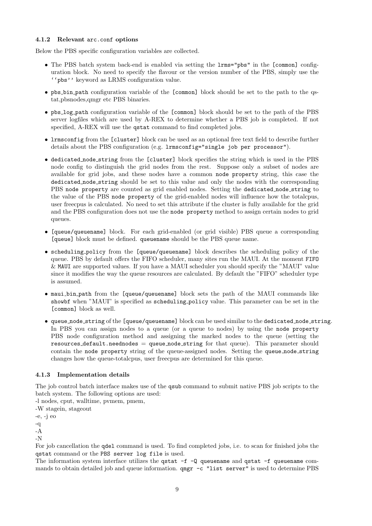#### <span id="page-9-0"></span>4.1.2 Relevant arc.conf options

Below the PBS specific configuration variables are collected.

- The PBS batch system back-end is enabled via setting the lrms="pbs" in the [common] configuration block. No need to specify the flavour or the version number of the PBS, simply use the ''pbs'' keyword as LRMS configuration value.
- pbs bin path configuration variable of the [common] block should be set to the path to the qstat,pbsnodes,qmgr etc PBS binaries.
- pbs log path configuration variable of the [common] block should be set to the path of the PBS server logfiles which are used by A-REX to determine whether a PBS job is completed. If not specified, A-REX will use the qstat command to find completed jobs.
- lrmsconfig from the [cluster] block can be used as an optional free text field to describe further details about the PBS configuration (e.g. lrmsconfig="single job per processor").
- dedicated node string from the [cluster] block specifies the string which is used in the PBS node config to distinguish the grid nodes from the rest. Suppose only a subset of nodes are available for grid jobs, and these nodes have a common node property string, this case the dedicated node string should be set to this value and only the nodes with the corresponding PBS node property are counted as grid enabled nodes. Setting the dedicated node string to the value of the PBS node property of the grid-enabled nodes will influence how the totalcpus, user freecpus is calculated. No need to set this attribute if the cluster is fully available for the grid and the PBS configuration does not use the node property method to assign certain nodes to grid queues.
- [queue/queuename] block. For each grid-enabled (or grid visible) PBS queue a corresponding [queue] block must be defined. queuename should be the PBS queue name.
- scheduling policy from the [queue/queuename] block describes the scheduling policy of the queue. PBS by default offers the FIFO scheduler, many sites run the MAUI. At the moment FIFO & MAUI are supported values. If you have a MAUI scheduler you should specify the "MAUI" value since it modifies the way the queue resources are calculated. By default the "FIFO" scheduler type is assumed.
- maui bin path from the [queue/queuename] block sets the path of the MAUI commands like showbf when "MAUI" is specified as scheduling policy value. This parameter can be set in the [common] block as well.
- queue node string of the [queue/queuename] block can be used similar to the dedicated node string. In PBS you can assign nodes to a queue (or a queue to nodes) by using the node property PBS node configuration method and assigning the marked nodes to the queue (setting the resources default.neednodes = queue node string for that queue). This parameter should contain the node property string of the queue-assigned nodes. Setting the queue node string changes how the queue-totalcpus, user freecpus are determined for this queue.

#### <span id="page-9-1"></span>4.1.3 Implementation details

The job control batch interface makes use of the qsub command to submit native PBS job scripts to the batch system. The following options are used:

-l nodes, cput, walltime, pvmem, pmem,

-W stagein, stageout

-e, -j eo

-q

-A

-N

For job cancellation the qdel command is used. To find completed jobs, i.e. to scan for finished jobs the qstat command or the PBS server log file is used.

The information system interface utilizes the qstat  $-f - Q$  queuename and qstat  $-f$  queuename commands to obtain detailed job and queue information.  $q_{\text{mgr}} -c$  "list server" is used to determine PBS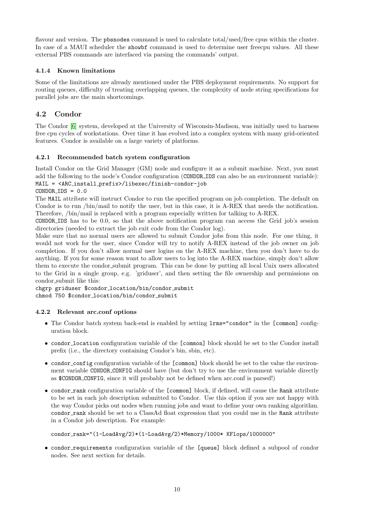flavour and version. The pbsnodes command is used to calculate total/used/free cpus within the cluster. In case of a MAUI scheduler the **showbf** command is used to determine user freecpu values. All these external PBS commands are interfaced via parsing the commands' output.

### <span id="page-10-0"></span>4.1.4 Known limitations

Some of the limitations are already mentioned under the PBS deployment requirements. No support for routing queues, difficulty of treating overlapping queues, the complexity of node string specifications for parallel jobs are the main shortcomings.

## <span id="page-10-1"></span>4.2 Condor

The Condor [\[6\]](#page-18-9) system, developed at the University of Wisconsin-Madison, was initially used to harness free cpu cycles of workstations. Over time it has evolved into a complex system with many grid-oriented features. Condor is available on a large variety of platforms.

## <span id="page-10-2"></span>4.2.1 Recommended batch system configuration

Install Condor on the Grid Manager (GM) node and configure it as a submit machine. Next, you must add the following to the node's Condor configuration (CONDOR IDS can also be an environment variable): MAIL = <ARC install prefix>/libexec/finish-condor-job

### $COMDOR\_IDS = 0.0$

The MAIL attribute will instruct Condor to run the specified program on job completion. The default on Condor is to run /bin/mail to notify the user, but in this case, it is A-REX that needs the notification. Therefore, /bin/mail is replaced with a program especially written for talking to A-REX.

CONDOR IDS has to be 0.0, so that the above notification program can access the Grid job's session directories (needed to extract the job exit code from the Condor log).

Make sure that no normal users are allowed to submit Condor jobs from this node. For one thing, it would not work for the user, since Condor will try to notify A-REX instead of the job owner on job completion. If you don't allow normal user logins on the A-REX machine, then you don't have to do anything. If you for some reason want to allow users to log into the A-REX machine, simply don't allow them to execute the condor submit program. This can be done by putting all local Unix users allocated to the Grid in a single group, e.g. 'griduser', and then setting the file ownership and permissions on condor\_submit like this:

chgrp griduser \$condor\_location/bin/condor\_submit chmod 750 \$condor\_location/bin/condor\_submit

### <span id="page-10-3"></span>4.2.2 Relevant arc.conf options

- The Condor batch system back-end is enabled by setting lrms="condor" in the [common] configuration block.
- condor location configuration variable of the [common] block should be set to the Condor install prefix (i.e., the directory containing Condor's bin, sbin, etc).
- condor config configuration variable of the [common] block should be set to the value the environment variable CONDOR\_CONFIG should have (but don't try to use the environment variable directly as \$CONDOR CONFIG, since it will probably not be defined when arc.conf is parsed!)
- condor rank configuration variable of the [common] block, if defined, will cause the Rank attribute to be set in each job description submitted to Condor. Use this option if you are not happy with the way Condor picks out nodes when running jobs and want to define your own ranking algorithm. condor rank should be set to a ClassAd float expression that you could use in the Rank attribute in a Condor job description. For example:

```
condor_rank="(1-LoadAvg/2)*(1-LoadAvg/2)*Memory/1000* KFlops/1000000"
```
• condor requirements configuration variable of the [queue] block defined a subpool of condor nodes. See next section for details.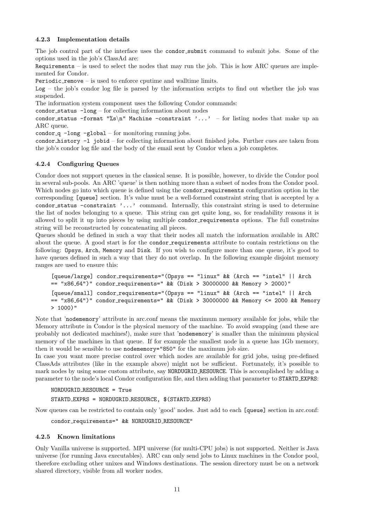#### <span id="page-11-0"></span>4.2.3 Implementation details

The job control part of the interface uses the condor submit command to submit jobs. Some of the options used in the job's ClassAd are:

Requirements – is used to select the nodes that may run the job. This is how ARC queues are implemented for Condor.

Periodic remove – is used to enforce cputime and walltime limits.

 $Log - the job's condor log file is parsed by the information scripts to find out whether the job was$ suspended.

The information system component uses the following Condor commands:

condor status -long – for collecting information about nodes

condor status -format "%s\n" Machine -constraint '...' - for listing nodes that make up an ARC queue.

condor  $q$  -long -global – for monitoring running jobs.

condor history -l jobid – for collecting information about finished jobs. Further cues are taken from the job's condor log file and the body of the email sent by Condor when a job completes.

#### <span id="page-11-1"></span>4.2.4 Configuring Queues

Condor does not support queues in the classical sense. It is possible, however, to divide the Condor pool in several sub-pools. An ARC 'queue' is then nothing more than a subset of nodes from the Condor pool. Which nodes go into which queue is defined using the condor requirements configuration option in the corresponding [queue] section. It's value must be a well-formed constraint string that is accepted by a condor status -constraint '...' command. Internally, this constraint string is used to determine the list of nodes belonging to a queue. This string can get quite long, so, for readability reasons it is allowed to split it up into pieces by using multiple condor requirements options. The full constrains string will be reconstructed by concatenating all pieces.

Queues should be defined in such a way that their nodes all match the information available in ARC about the queue. A good start is for the condor requirements attribute to contain restrictions on the following: Opsys, Arch, Memory and Disk. If you wish to configure more than one queue, it's good to have queues defined in such a way that they do not overlap. In the following example disjoint memory ranges are used to ensure this:

```
[queue/large] condor_requirements="(Opsys == "linux" && (Arch == "intel" || Arch
== "x86 64")" condor requirements=" && (Disk > 30000000 && Memory > 2000)"
[queue/small] condor requirements="(Opsys == "linux" && (Arch == "intel" || Arch
== "x86.64")" condor requirements=" && (Disk > 30000000 && Memory <= 2000 && Memory
> 1000)"
```
Note that 'nodememory' attribute in arc.conf means the maximum memory available for jobs, while the Memory attribute in Condor is the physical memory of the machine. To avoid swapping (and these are probably not dedicated machines!), make sure that 'nodememory' is smaller than the minimum physical memory of the machines in that queue. If for example the smallest node in a queue has 1Gb memory, then it would be sensible to use nodememory="850" for the maximum job size.

In case you want more precise control over which nodes are available for grid jobs, using pre-defined ClassAds attributes (like in the example above) might not be sufficient. Fortunately, it's possible to mark nodes by using some custom attribute, say NORDUGRID RESOURCE. This is accomplished by adding a parameter to the node's local Condor configuration file, and then adding that parameter to STARTD EXPRS:

NORDUGRID RESOURCE = True

STARTD EXPRS = NORDUGRID RESOURCE, \$(STARTD EXPRS)

Now queues can be restricted to contain only 'good' nodes. Just add to each [queue] section in arc.conf:

condor\_requirements=" && NORDUGRID\_RESOURCE"

#### <span id="page-11-2"></span>4.2.5 Known limitations

Only Vanilla universe is supported. MPI universe (for multi-CPU jobs) is not supported. Neither is Java universe (for running Java executables). ARC can only send jobs to Linux machines in the Condor pool, therefore excluding other unixes and Windows destinations. The session directory must be on a network shared directory, visible from all worker nodes.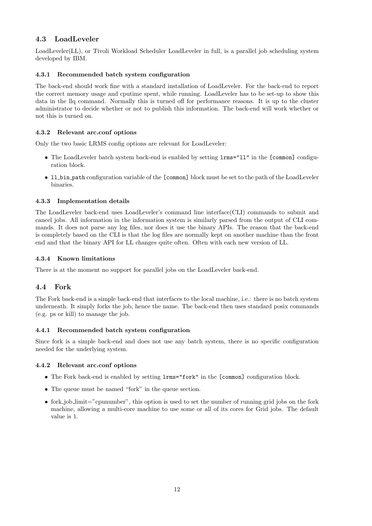## <span id="page-12-0"></span>4.3 LoadLeveler

LoadLeveler(LL), or Tivoli Workload Scheduler LoadLeveler in full, is a parallel job scheduling system developed by IBM.

### <span id="page-12-1"></span>4.3.1 Recommended batch system configuration

The back-end should work fine with a standard installation of LoadLeveler. For the back-end to report the correct memory usage and cputime spent, while running. LoadLeveler has to be set-up to show this data in the llq command. Normally this is turned off for performance reasons. It is up to the cluster administrator to decide whether or not to publish this information. The back-end will work whether or not this is turned on.

#### <span id="page-12-2"></span>4.3.2 Relevant arc.conf options

Only the two basic LRMS config options are relevant for LoadLeveler:

- The LoadLeveler batch system back-end is enabled by setting lrms="ll" in the [common] configuration block.
- 11 bin path configuration variable of the [common] block must be set to the path of the LoadLeveler binaries.

#### <span id="page-12-3"></span>4.3.3 Implementation details

The LoadLeveler back-end uses LoadLeveler's command line interface(CLI) commands to submit and cancel jobs. All information in the information system is similarly parsed from the output of CLI commands. It does not parse any log files, nor does it use the binary APIs. The reason that the back-end is completely based on the CLI is that the log files are normally kept on another machine than the front end and that the binary API for LL changes quite often. Often with each new version of LL.

#### <span id="page-12-4"></span>4.3.4 Known limitations

There is at the moment no support for parallel jobs on the LoadLeveler back-end.

### <span id="page-12-5"></span>4.4 Fork

The Fork back-end is a simple back-end that interfaces to the local machine, i.e.: there is no batch system underneath. It simply forks the job, hence the name. The back-end then uses standard posix commands (e.g. ps or kill) to manage the job.

#### <span id="page-12-6"></span>4.4.1 Recommended batch system configuration

Since fork is a simple back-end and does not use any batch system, there is no specific configuration needed for the underlying system.

#### <span id="page-12-7"></span>4.4.2 Relevant arc.conf options

- The Fork back-end is enabled by setting lrms="fork" in the [common] configuration block.
- The queue must be named "fork" in the queue section.
- fork job limit="cpunumber", this option is used to set the number of running grid jobs on the fork machine, allowing a multi-core machine to use some or all of its cores for Grid jobs. The default value is 1.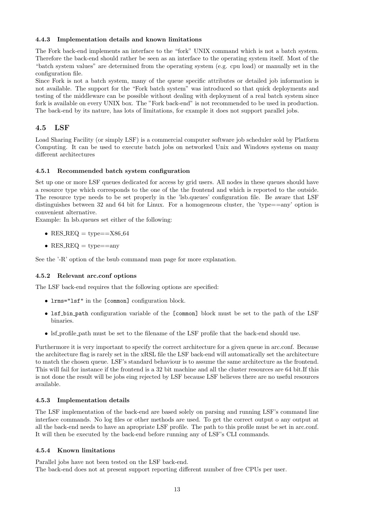#### <span id="page-13-0"></span>4.4.3 Implementation details and known limitations

The Fork back-end implements an interface to the "fork" UNIX command which is not a batch system. Therefore the back-end should rather be seen as an interface to the operating system itself. Most of the "batch system values" are determined from the operating system (e.g. cpu load) or manually set in the configuration file.

Since Fork is not a batch system, many of the queue specific attributes or detailed job information is not available. The support for the "Fork batch system" was introduced so that quick deployments and testing of the middleware can be possible without dealing with deployment of a real batch system since fork is available on every UNIX box. The "Fork back-end" is not recommended to be used in production. The back-end by its nature, has lots of limitations, for example it does not support parallel jobs.

## <span id="page-13-1"></span>4.5 LSF

Load Sharing Facility (or simply LSF) is a commercial computer software job scheduler sold by Platform Computing. It can be used to execute batch jobs on networked Unix and Windows systems on many different architectures

#### <span id="page-13-2"></span>4.5.1 Recommended batch system configuration

Set up one or more LSF queues dedicated for access by grid users. All nodes in these queues should have a resource type which corresponds to the one of the the frontend and which is reported to the outside. The resource type needs to be set properly in the 'lsb.queues' configuration file. Be aware that LSF distinguishes between 32 and 64 bit for Linux. For a homogeneous cluster, the 'type==any' option is convenient alternative.

Example: In lsb.queues set either of the following:

- RES\_REQ =  $type==X86_64$
- $RES\_REQ = type = =$ any

See the '-R' option of the bsub command man page for more explanation.

### <span id="page-13-3"></span>4.5.2 Relevant arc.conf options

The LSF back-end requires that the following options are specified:

- lrms="lsf" in the [common] configuration block.
- lsf bin path configuration variable of the [common] block must be set to the path of the LSF binaries.
- lsf profile path must be set to the filename of the LSF profile that the back-end should use.

Furthermore it is very important to specify the correct architecture for a given queue in arc.conf. Because the architecture flag is rarely set in the xRSL file the LSF back-end will automatically set the architecture to match the chosen queue. LSF's standard behaviour is to assume the same architecture as the frontend. This will fail for instance if the frontend is a 32 bit machine and all the cluster resources are 64 bit.If this is not done the result will be jobs eing rejected by LSF because LSF believes there are no useful resources available.

#### <span id="page-13-4"></span>4.5.3 Implementation details

The LSF implementation of the back-end are based solely on parsing and running LSF's command line interface commands. No log files or other methods are used. To get the correct output o any output at all the back-end needs to have an apropriate LSF profile. The path to this profile must be set in arc.conf. It will then be executed by the back-end before running any of LSF's CLI commands.

#### <span id="page-13-5"></span>4.5.4 Known limitations

Parallel jobs have not been tested on the LSF back-end. The back-end does not at present support reporting different number of free CPUs per user.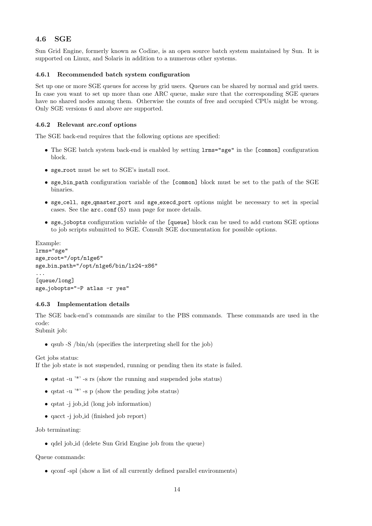## <span id="page-14-0"></span>4.6 SGE

Sun Grid Engine, formerly known as Codine, is an open source batch system maintained by Sun. It is supported on Linux, and Solaris in addition to a numerous other systems.

#### <span id="page-14-1"></span>4.6.1 Recommended batch system configuration

Set up one or more SGE queues for access by grid users. Queues can be shared by normal and grid users. In case you want to set up more than one ARC queue, make sure that the corresponding SGE queues have no shared nodes among them. Otherwise the counts of free and occupied CPUs might be wrong. Only SGE versions 6 and above are supported.

#### <span id="page-14-2"></span>4.6.2 Relevant arc.conf options

The SGE back-end requires that the following options are specified:

- The SGE batch system back-end is enabled by setting lrms="sge" in the [common] configuration block.
- sge\_root must be set to SGE's install root.
- sge bin path configuration variable of the [common] block must be set to the path of the SGE binaries.
- sge cell, sge qmaster port and sge execd port options might be necessary to set in special cases. See the arc.conf(5) man page for more details.
- sge jobopts configuration variable of the [queue] block can be used to add custom SGE options to job scripts submitted to SGE. Consult SGE documentation for possible options.

```
Example:
lrms="sge"
sge_root="/opt/n1ge6"
sge bin path="/opt/n1ge6/bin/lx24-x86"
...
[queue/long]
sge_jobopts="-P atlas -r yes"
```
### <span id="page-14-3"></span>4.6.3 Implementation details

The SGE back-end's commands are similar to the PBS commands. These commands are used in the code:

Submit job:

• qsub -S /bin/sh (specifies the interpreting shell for the job)

Get jobs status:

If the job state is not suspended, running or pending then its state is failed.

- qstat -u '\*' -s rs (show the running and suspended jobs status)
- qstat -u  $'$  -s p (show the pending jobs status)
- qstat -j job\_id (long job information)
- qacct -j job id (finished job report)

Job terminating:

• adel job id (delete Sun Grid Engine job from the queue)

Queue commands:

• qconf -spl (show a list of all currently defined parallel environments)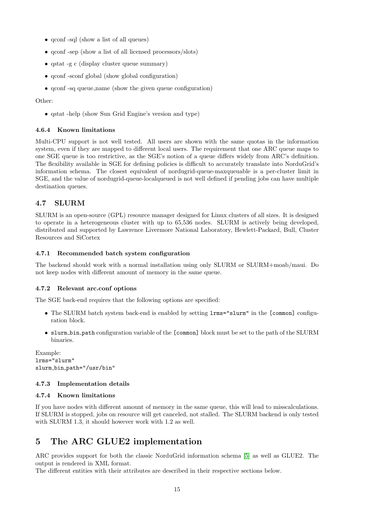- gconf -sql (show a list of all queues)
- qconf -sep (show a list of all licensed processors/slots)
- qstat -g c (display cluster queue summary)
- qconf -sconf global (show global configuration)
- qconf -sq queue name (show the given queue configuration)

#### Other:

• qstat -help (show Sun Grid Engine's version and type)

#### <span id="page-15-0"></span>4.6.4 Known limitations

Multi-CPU support is not well tested. All users are shown with the same quotas in the information system, even if they are mapped to different local users. The requirement that one ARC queue maps to one SGE queue is too restrictive, as the SGE's notion of a queue differs widely from ARC's definition. The flexibility available in SGE for defining policies is difficult to accurately translate into NorduGrid's information schema. The closest equivalent of nordugrid-queue-maxqueuable is a per-cluster limit in SGE, and the value of nordugrid-queue-localqueued is not well defined if pending jobs can have multiple destination queues.

## <span id="page-15-1"></span>4.7 SLURM

SLURM is an open-source (GPL) resource manager designed for Linux clusters of all sizes. It is designed to operate in a heterogeneous cluster with up to 65,536 nodes. SLURM is actively being developed, distributed and supported by Lawrence Livermore National Laboratory, Hewlett-Packard, Bull, Cluster Resources and SiCortex

#### <span id="page-15-2"></span>4.7.1 Recommended batch system configuration

The backend should work with a normal installation using only SLURM or SLURM+moab/maui. Do not keep nodes with different amount of memory in the same queue.

#### <span id="page-15-3"></span>4.7.2 Relevant arc.conf options

The SGE back-end requires that the following options are specified:

- The SLURM batch system back-end is enabled by setting lrms="slurm" in the [common] configuration block.
- slurm bin path configuration variable of the [common] block must be set to the path of the SLURM binaries.

```
Example:
lrms="slurm"
slurm bin path="/usr/bin"
```
#### <span id="page-15-4"></span>4.7.3 Implementation details

#### <span id="page-15-5"></span>4.7.4 Known limitations

If you have nodes with different amount of memory in the same queue, this will lead to misscalculations. If SLURM is stopped, jobs on resource will get canceled, not stalled. The SLURM backend is only tested with SLURM 1.3, it should however work with 1.2 as well.

# <span id="page-15-6"></span>5 The ARC GLUE2 implementation

ARC provides support for both the classic NorduGrid information schema [\[5\]](#page-18-6) as well as GLUE2. The output is rendered in XML format.

The different entities with their attributes are described in their respective sections below.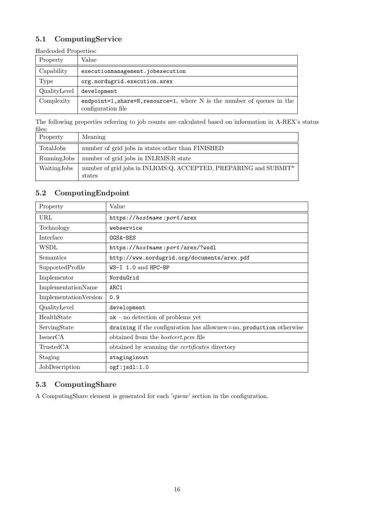# <span id="page-16-0"></span>5.1 ComputingService

Hardcoded Properties:

| <b>Hardcodca I</b> roperates. |                                                                                                     |  |
|-------------------------------|-----------------------------------------------------------------------------------------------------|--|
| Property                      | Value                                                                                               |  |
| Capability                    | executionmanagement.jobexecution                                                                    |  |
| Type                          | org.nordugrid.execution.arex                                                                        |  |
| QualityLevel                  | development                                                                                         |  |
| Complexity                    | endpoint=1, share= $N$ , resource=1, where $N$ is the number of queues in the<br>configuration file |  |

The following properties referring to job counts are calculated based on information in A-REX's status files:

| Property    | Meaning                                                                    |
|-------------|----------------------------------------------------------------------------|
| TotalJobs   | number of grid jobs in states other than FINISHED                          |
| RunningJobs | number of grid jobs in INLRMS: R state                                     |
| WaitingJobs | number of grid jobs in INLRMS:Q, ACCEPTED, PREPARING and SUBMIT*<br>states |

# <span id="page-16-1"></span>5.2 ComputingEndpoint

| Property              | Value                                                               |
|-----------------------|---------------------------------------------------------------------|
| URL                   | https://hostname:port/arex                                          |
| Technology            | webservice                                                          |
| Interface             | $OGSA-BES$                                                          |
| WSDL                  | https://hostname:port/arex/?wsdl                                    |
| Semantics             | http://www.nordugrid.org/documents/arex.pdf                         |
| SupportedProfile      | $WS-I$ 1.0 and HPC-BP                                               |
| Implementor           | NorduGrid                                                           |
| ImplementationName    | ARC <sub>1</sub>                                                    |
| ImplementationVersion | 0.9                                                                 |
| QualityLevel          | development                                                         |
| HealthState           | $ok$ – no detection of problems yet                                 |
| ServingState          | draining if the configuration has allownew=no, production otherwise |
| IssuerCA              | obtained from the <i>hostcert.pem</i> file                          |
| TrustedCA             | obtained by scanning the <i>certificates</i> directory              |
| Staging               | staginginout                                                        |
| JobDescription        | ogf:jsd1:1.0                                                        |

## <span id="page-16-2"></span>5.3 ComputingShare

A ComputingShare element is generated for each 'queue' section in the configuration.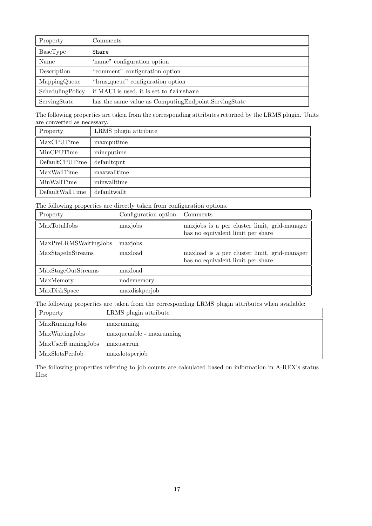| Property         | Comments                                                |
|------------------|---------------------------------------------------------|
| BaseType         | Share                                                   |
| Name             | 'name" configuration option                             |
| Description      | "comment" configuration option                          |
| MappingQueue     | "Irms_queue" configuration option                       |
| SchedulingPolicy | if MAUI is used, it is set to fairshare                 |
| ServingState     | has the same value as Computing Endpoint. Serving State |

The following properties are taken from the corresponding attributes returned by the LRMS plugin. Units are converted as necessary.

| Property        | LRMS plugin attribute |
|-----------------|-----------------------|
| MaxCPUTime      | maxcputime            |
| MinCPUTime      | mincputime            |
| DefaultCPUTime  | defaultcput           |
| MaxWallTime     | maxwalltime           |
| MinWallTime     | minwalltime           |
| DefaultWallTime | defaultwallt          |

The following properties are directly taken from configuration options.

| Property              | Configuration option | Comments                                                                          |
|-----------------------|----------------------|-----------------------------------------------------------------------------------|
| MaxTotalJobs          | maxjobs              | maxjobs is a per cluster limit, grid-manager<br>has no equivalent limit per share |
| MaxPreLRMSWaitingJobs | maxjobs              |                                                                                   |
| MaxStageInStreams     | maxload              | maxload is a per cluster limit, grid-manager<br>has no equivalent limit per share |
| MaxStageOutStreams    | maxload              |                                                                                   |
| MaxMemory             | nodememory           |                                                                                   |
| MaxDiskSpace          | maxdiskperjob        |                                                                                   |

The following properties are taken from the corresponding LRMS plugin attributes when available:

| Property           | LRMS plugin attribute    |
|--------------------|--------------------------|
| MaxRunningJobs     | maxrunning               |
| MaxWaitingJobs     | maxqueuable - maxrunning |
| MaxUserRunningJobs | maxuserrun               |
| MaxSlotsPerJob     | maxslotsperjob           |

The following properties referring to job counts are calculated based on information in A-REX's status files: